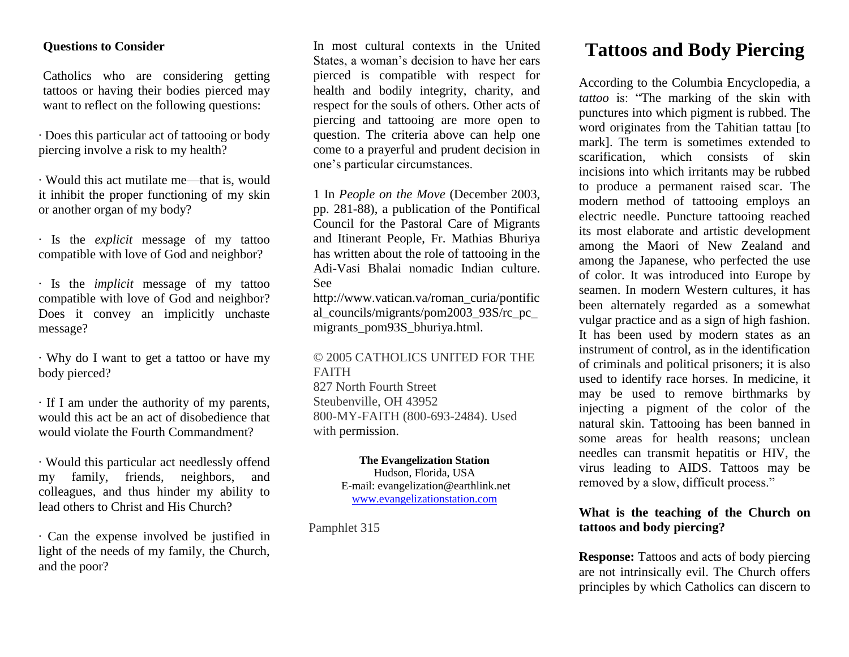#### **Questions to Consider**

Catholics who are considering getting tattoos or having their bodies pierced may want to reflect on the following questions:

· Does this particular act of tattooing or body piercing involve a risk to my health?

· Would this act mutilate me—that is, would it inhibit the proper functioning of my skin or another organ of my body?

· Is the *explicit* message of my tattoo compatible with love of God and neighbor?

· Is the *implicit* message of my tattoo compatible with love of God and neighbor? Does it convey an implicitly unchaste message?

· Why do I want to get a tattoo or have my body pierced?

· If I am under the authority of my parents, would this act be an act of disobedience that would violate the Fourth Commandment?

· Would this particular act needlessly offend my family, friends, neighbors, and colleagues, and thus hinder my ability to lead others to Christ and His Church?

· Can the expense involved be justified in light of the needs of my family, the Church, and the poor?

In most cultural contexts in the United States, a woman's decision to have her ears pierced is compatible with respect for health and bodily integrity, charity, and respect for the souls of others. Other acts of piercing and tattooing are more open to question. The criteria above can help one come to a prayerful and prudent decision in one's particular circumstances.

1 In *People on the Move* (December 2003, pp. 281-88), a publication of the Pontifical Council for the Pastoral Care of Migrants and Itinerant People, Fr. Mathias Bhuriya has written about the role of tattooing in the Adi-Vasi Bhalai nomadic Indian culture. See

http://www.vatican.va/roman\_curia/pontific al\_councils/migrants/pom2003\_93S/rc\_pc\_ migrants\_pom93S\_bhuriya.html.

#### © 2005 CATHOLICS UNITED FOR THE FAITH

827 North Fourth Street Steubenville, OH 43952 800-MY-FAITH (800-693-2484). Used with permission.

> **The Evangelization Station** Hudson, Florida, USA E-mail: evangelization@earthlink.net [www.evangelizationstation.com](http://www.pjpiisoe.org/)

Pamphlet 315

# **Tattoos and Body Piercing**

According to the Columbia Encyclopedia, a *tattoo* is: "The marking of the skin with punctures into which pigment is rubbed. The word originates from the Tahitian tattau [to mark]. The term is sometimes extended to scarification, which consists of skin incisions into which irritants may be rubbed to produce a permanent raised scar. The modern method of tattooing employs an electric needle. Puncture tattooing reached its most elaborate and artistic development among the Maori of New Zealand and among the Japanese, who perfected the use of color. It was introduced into Europe by seamen. In modern Western cultures, it has been alternately regarded as a somewhat vulgar practice and as a sign of high fashion. It has been used by modern states as an instrument of control, as in the identification of criminals and political prisoners; it is also used to identify race horses. In medicine, it may be used to remove birthmarks by injecting a pigment of the color of the natural skin. Tattooing has been banned in some areas for health reasons; unclean needles can transmit hepatitis or HIV, the virus leading to AIDS. Tattoos may be removed by a slow, difficult process."

## **What is the teaching of the Church on tattoos and body piercing?**

**Response:** Tattoos and acts of body piercing are not intrinsically evil. The Church offers principles by which Catholics can discern to